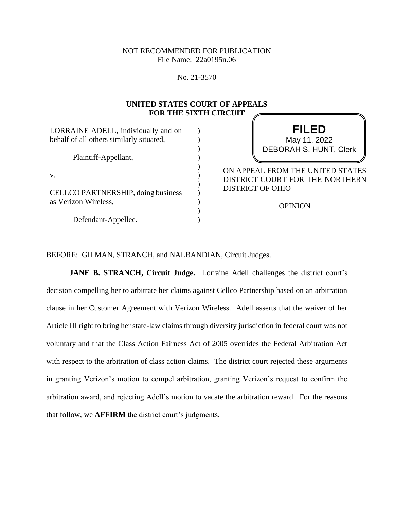## NOT RECOMMENDED FOR PUBLICATION File Name: 22a0195n.06

No. 21-3570

#### **UNITED STATES COURT OF APPEALS FOR THE SIXTH CIRCUIT**  $\sqrt{2}$

| LORRAINE ADELL, individually and on<br>behalf of all others similarly situated, | <b>FILED</b><br>May 11, 2022                                                                                     |
|---------------------------------------------------------------------------------|------------------------------------------------------------------------------------------------------------------|
| Plaintiff-Appellant,                                                            | <b>DEBORAH S. HUNT, Clerk</b>                                                                                    |
| V.<br>CELLCO PARTNERSHIP, doing business<br>as Verizon Wireless,                | ON APPEAL FROM THE UNITED STATES<br>DISTRICT COURT FOR THE NORTHERN<br><b>DISTRICT OF OHIO</b><br><b>OPINION</b> |
| Defendant-Appellee.                                                             |                                                                                                                  |

BEFORE: GILMAN, STRANCH, and NALBANDIAN, Circuit Judges.

**JANE B. STRANCH, Circuit Judge.** Lorraine Adell challenges the district court's decision compelling her to arbitrate her claims against Cellco Partnership based on an arbitration clause in her Customer Agreement with Verizon Wireless. Adell asserts that the waiver of her Article III right to bring her state-law claims through diversity jurisdiction in federal court was not voluntary and that the Class Action Fairness Act of 2005 overrides the Federal Arbitration Act with respect to the arbitration of class action claims. The district court rejected these arguments in granting Verizon's motion to compel arbitration, granting Verizon's request to confirm the arbitration award, and rejecting Adell's motion to vacate the arbitration reward. For the reasons that follow, we **AFFIRM** the district court's judgments.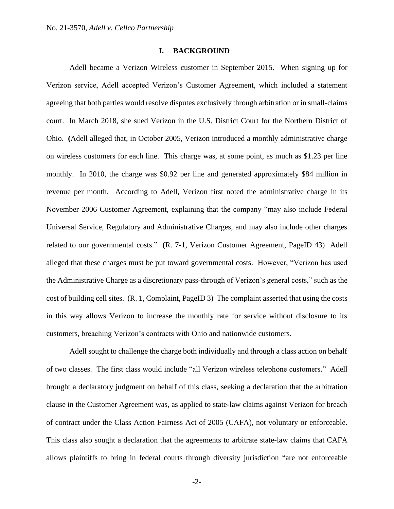## **I. BACKGROUND**

Adell became a Verizon Wireless customer in September 2015. When signing up for Verizon service, Adell accepted Verizon's Customer Agreement, which included a statement agreeing that both parties would resolve disputes exclusively through arbitration or in small-claims court. In March 2018, she sued Verizon in the U.S. District Court for the Northern District of Ohio. **(**Adell alleged that, in October 2005, Verizon introduced a monthly administrative charge on wireless customers for each line. This charge was, at some point, as much as \$1.23 per line monthly. In 2010, the charge was \$0.92 per line and generated approximately \$84 million in revenue per month. According to Adell, Verizon first noted the administrative charge in its November 2006 Customer Agreement, explaining that the company "may also include Federal Universal Service, Regulatory and Administrative Charges, and may also include other charges related to our governmental costs." (R. 7-1, Verizon Customer Agreement, PageID 43) Adell alleged that these charges must be put toward governmental costs. However, "Verizon has used the Administrative Charge as a discretionary pass-through of Verizon's general costs," such as the cost of building cell sites. (R. 1, Complaint, PageID 3) The complaint asserted that using the costs in this way allows Verizon to increase the monthly rate for service without disclosure to its customers, breaching Verizon's contracts with Ohio and nationwide customers.

Adell sought to challenge the charge both individually and through a class action on behalf of two classes. The first class would include "all Verizon wireless telephone customers." Adell brought a declaratory judgment on behalf of this class, seeking a declaration that the arbitration clause in the Customer Agreement was, as applied to state-law claims against Verizon for breach of contract under the Class Action Fairness Act of 2005 (CAFA), not voluntary or enforceable. This class also sought a declaration that the agreements to arbitrate state-law claims that CAFA allows plaintiffs to bring in federal courts through diversity jurisdiction "are not enforceable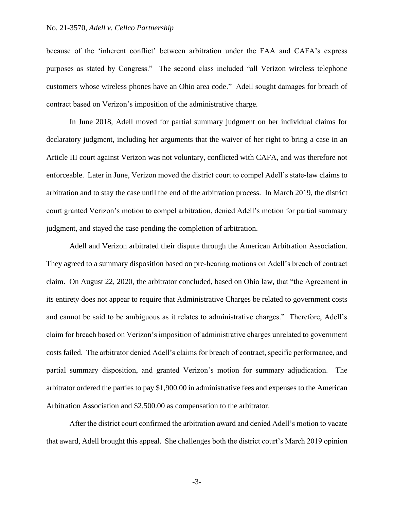because of the 'inherent conflict' between arbitration under the FAA and CAFA's express purposes as stated by Congress." The second class included "all Verizon wireless telephone customers whose wireless phones have an Ohio area code." Adell sought damages for breach of contract based on Verizon's imposition of the administrative charge.

In June 2018, Adell moved for partial summary judgment on her individual claims for declaratory judgment, including her arguments that the waiver of her right to bring a case in an Article III court against Verizon was not voluntary, conflicted with CAFA, and was therefore not enforceable. Later in June, Verizon moved the district court to compel Adell's state-law claims to arbitration and to stay the case until the end of the arbitration process. In March 2019, the district court granted Verizon's motion to compel arbitration, denied Adell's motion for partial summary judgment, and stayed the case pending the completion of arbitration.

Adell and Verizon arbitrated their dispute through the American Arbitration Association. They agreed to a summary disposition based on pre-hearing motions on Adell's breach of contract claim. On August 22, 2020, **t**he arbitrator concluded, based on Ohio law, that "the Agreement in its entirety does not appear to require that Administrative Charges be related to government costs and cannot be said to be ambiguous as it relates to administrative charges." Therefore, Adell's claim for breach based on Verizon's imposition of administrative charges unrelated to government costs failed. The arbitrator denied Adell's claims for breach of contract, specific performance, and partial summary disposition, and granted Verizon's motion for summary adjudication. The arbitrator ordered the parties to pay \$1,900.00 in administrative fees and expenses to the American Arbitration Association and \$2,500.00 as compensation to the arbitrator.

After the district court confirmed the arbitration award and denied Adell's motion to vacate that award, Adell brought this appeal. She challenges both the district court's March 2019 opinion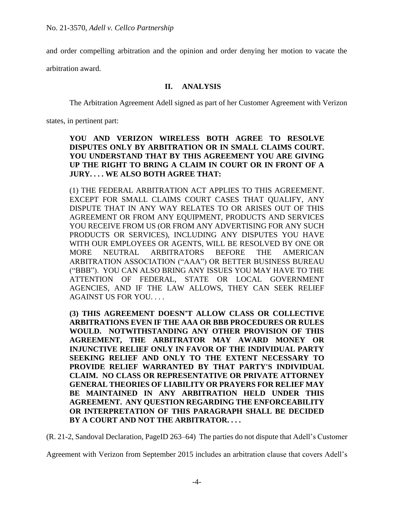and order compelling arbitration and the opinion and order denying her motion to vacate the

arbitration award.

## **II. ANALYSIS**

The Arbitration Agreement Adell signed as part of her Customer Agreement with Verizon

states, in pertinent part:

# **YOU AND VERIZON WIRELESS BOTH AGREE TO RESOLVE DISPUTES ONLY BY ARBITRATION OR IN SMALL CLAIMS COURT. YOU UNDERSTAND THAT BY THIS AGREEMENT YOU ARE GIVING UP THE RIGHT TO BRING A CLAIM IN COURT OR IN FRONT OF A JURY. . . . WE ALSO BOTH AGREE THAT:**

(1) THE FEDERAL ARBITRATION ACT APPLIES TO THIS AGREEMENT. EXCEPT FOR SMALL CLAIMS COURT CASES THAT QUALIFY, ANY DISPUTE THAT IN ANY WAY RELATES TO OR ARISES OUT OF THIS AGREEMENT OR FROM ANY EQUIPMENT, PRODUCTS AND SERVICES YOU RECEIVE FROM US (OR FROM ANY ADVERTISING FOR ANY SUCH PRODUCTS OR SERVICES), INCLUDING ANY DISPUTES YOU HAVE WITH OUR EMPLOYEES OR AGENTS, WILL BE RESOLVED BY ONE OR MORE NEUTRAL ARBITRATORS BEFORE THE AMERICAN ARBITRATION ASSOCIATION ("AAA") OR BETTER BUSINESS BUREAU ("BBB"). YOU CAN ALSO BRING ANY ISSUES YOU MAY HAVE TO THE ATTENTION OF FEDERAL, STATE OR LOCAL GOVERNMENT AGENCIES, AND IF THE LAW ALLOWS, THEY CAN SEEK RELIEF AGAINST US FOR YOU. . . .

**(3) THIS AGREEMENT DOESN'T ALLOW CLASS OR COLLECTIVE ARBITRATIONS EVEN IF THE AAA OR BBB PROCEDURES OR RULES WOULD. NOTWITHSTANDING ANY OTHER PROVISION OF THIS AGREEMENT, THE ARBITRATOR MAY AWARD MONEY OR INJUNCTIVE RELIEF ONLY IN FAVOR OF THE INDIVIDUAL PARTY SEEKING RELIEF AND ONLY TO THE EXTENT NECESSARY TO PROVIDE RELIEF WARRANTED BY THAT PARTY'S INDIVIDUAL CLAIM. NO CLASS OR REPRESENTATIVE OR PRIVATE ATTORNEY GENERAL THEORIES OF LIABILITY OR PRAYERS FOR RELIEF MAY BE MAINTAINED IN ANY ARBITRATION HELD UNDER THIS AGREEMENT. ANY QUESTION REGARDING THE ENFORCEABILITY OR INTERPRETATION OF THIS PARAGRAPH SHALL BE DECIDED BY A COURT AND NOT THE ARBITRATOR. . . .**

(R. 21-2, Sandoval Declaration, PageID 263–64) The parties do not dispute that Adell's Customer

Agreement with Verizon from September 2015 includes an arbitration clause that covers Adell's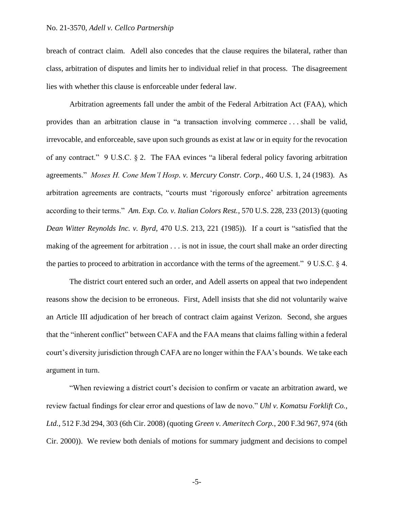## No. 21-3570, *Adell v. Cellco Partnership*

breach of contract claim. Adell also concedes that the clause requires the bilateral, rather than class, arbitration of disputes and limits her to individual relief in that process. The disagreement lies with whether this clause is enforceable under federal law.

Arbitration agreements fall under the ambit of the Federal Arbitration Act (FAA), which provides than an arbitration clause in "a transaction involving commerce . . . shall be valid, irrevocable, and enforceable, save upon such grounds as exist at law or in equity for the revocation of any contract." 9 U.S.C. § 2. The FAA evinces "a liberal federal policy favoring arbitration agreements." *Moses H. Cone Mem'l Hosp. v. Mercury Constr. Corp.*, 460 U.S. 1, 24 (1983). As arbitration agreements are contracts, "courts must 'rigorously enforce' arbitration agreements according to their terms." *Am. Exp. Co. v. Italian Colors Rest.*, 570 U.S. 228, 233 (2013) (quoting *Dean Witter Reynolds Inc. v. Byrd*, 470 U.S. 213, 221 (1985)). If a court is "satisfied that the making of the agreement for arbitration . . . is not in issue, the court shall make an order directing the parties to proceed to arbitration in accordance with the terms of the agreement." 9 U.S.C. § 4.

The district court entered such an order, and Adell asserts on appeal that two independent reasons show the decision to be erroneous. First, Adell insists that she did not voluntarily waive an Article III adjudication of her breach of contract claim against Verizon. Second, she argues that the "inherent conflict" between CAFA and the FAA means that claims falling within a federal court's diversity jurisdiction through CAFA are no longer within the FAA's bounds. We take each argument in turn.

"When reviewing a district court's decision to confirm or vacate an arbitration award, we review factual findings for clear error and questions of law de novo." *Uhl v. Komatsu Forklift Co., Ltd.*, 512 F.3d 294, 303 (6th Cir. 2008) (quoting *Green v. Ameritech Corp.*, 200 F.3d 967, 974 (6th Cir. 2000)). We review both denials of motions for summary judgment and decisions to compel

-5-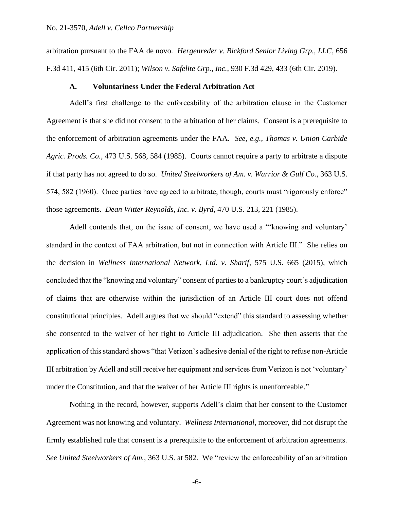arbitration pursuant to the FAA de novo. *Hergenreder v. Bickford Senior Living Grp., LLC*, 656 F.3d 411, 415 (6th Cir. 2011); *Wilson v. Safelite Grp., Inc.*, 930 F.3d 429, 433 (6th Cir. 2019).

### **A. Voluntariness Under the Federal Arbitration Act**

Adell's first challenge to the enforceability of the arbitration clause in the Customer Agreement is that she did not consent to the arbitration of her claims. Consent is a prerequisite to the enforcement of arbitration agreements under the FAA. *See, e.g.*, *Thomas v. Union Carbide Agric. Prods. Co.*, 473 U.S. 568, 584 (1985). Courts cannot require a party to arbitrate a dispute if that party has not agreed to do so. *United Steelworkers of Am. v. Warrior & Gulf Co.*, 363 U.S. 574, 582 (1960). Once parties have agreed to arbitrate, though, courts must "rigorously enforce" those agreements. *Dean Witter Reynolds, Inc. v. Byrd*, 470 U.S. 213, 221 (1985).

Adell contends that, on the issue of consent, we have used a "'knowing and voluntary' standard in the context of FAA arbitration, but not in connection with Article III." She relies on the decision in *Wellness International Network, Ltd. v. Sharif*, 575 U.S. 665 (2015), which concluded that the "knowing and voluntary" consent of parties to a bankruptcy court's adjudication of claims that are otherwise within the jurisdiction of an Article III court does not offend constitutional principles. Adell argues that we should "extend" this standard to assessing whether she consented to the waiver of her right to Article III adjudication. She then asserts that the application of this standard shows "that Verizon's adhesive denial of the right to refuse non-Article III arbitration by Adell and still receive her equipment and services from Verizon is not 'voluntary' under the Constitution, and that the waiver of her Article III rights is unenforceable."

Nothing in the record, however, supports Adell's claim that her consent to the Customer Agreement was not knowing and voluntary. *Wellness International*, moreover, did not disrupt the firmly established rule that consent is a prerequisite to the enforcement of arbitration agreements. *See United Steelworkers of Am.*, 363 U.S. at 582. We "review the enforceability of an arbitration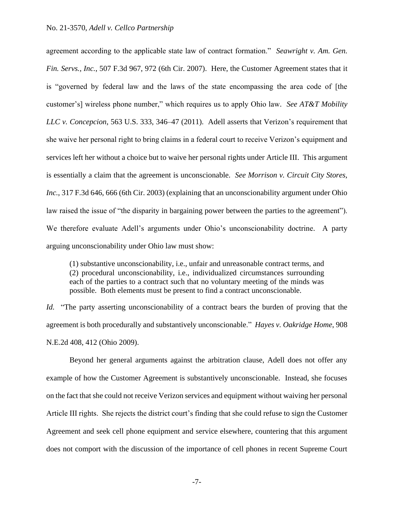agreement according to the applicable state law of contract formation." *Seawright v. Am. Gen. Fin. Servs., Inc.*, 507 F.3d 967, 972 (6th Cir. 2007). Here, the Customer Agreement states that it is "governed by federal law and the laws of the state encompassing the area code of [the customer's] wireless phone number," which requires us to apply Ohio law. *See AT&T Mobility LLC v. Concepcion*, 563 U.S. 333, 346–47 (2011). Adell asserts that Verizon's requirement that she waive her personal right to bring claims in a federal court to receive Verizon's equipment and services left her without a choice but to waive her personal rights under Article III. This argument is essentially a claim that the agreement is unconscionable. *See Morrison v. Circuit City Stores, Inc.*, 317 F.3d 646, 666 (6th Cir. 2003) (explaining that an unconscionability argument under Ohio law raised the issue of "the disparity in bargaining power between the parties to the agreement"). We therefore evaluate Adell's arguments under Ohio's unconscionability doctrine. A party arguing unconscionability under Ohio law must show:

(1) substantive unconscionability, i.e., unfair and unreasonable contract terms, and (2) procedural unconscionability, i.e., individualized circumstances surrounding each of the parties to a contract such that no voluntary meeting of the minds was possible. Both elements must be present to find a contract unconscionable.

*Id.* "The party asserting unconscionability of a contract bears the burden of proving that the agreement is both procedurally and substantively unconscionable." *Hayes v. Oakridge Home*, 908 N.E.2d 408, 412 (Ohio 2009).

Beyond her general arguments against the arbitration clause, Adell does not offer any example of how the Customer Agreement is substantively unconscionable. Instead, she focuses on the fact that she could not receive Verizon services and equipment without waiving her personal Article III rights. She rejects the district court's finding that she could refuse to sign the Customer Agreement and seek cell phone equipment and service elsewhere, countering that this argument does not comport with the discussion of the importance of cell phones in recent Supreme Court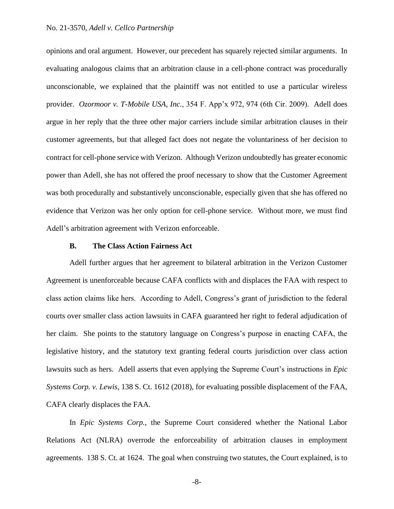### No. 21-3570, *Adell v. Cellco Partnership*

opinions and oral argument. However, our precedent has squarely rejected similar arguments. In evaluating analogous claims that an arbitration clause in a cell-phone contract was procedurally unconscionable, we explained that the plaintiff was not entitled to use a particular wireless provider. *Ozormoor v. T-Mobile USA, Inc.*, 354 F. App'x 972, 974 (6th Cir. 2009). Adell does argue in her reply that the three other major carriers include similar arbitration clauses in their customer agreements, but that alleged fact does not negate the voluntariness of her decision to contract for cell-phone service with Verizon. Although Verizon undoubtedly has greater economic power than Adell, she has not offered the proof necessary to show that the Customer Agreement was both procedurally and substantively unconscionable, especially given that she has offered no evidence that Verizon was her only option for cell-phone service. Without more, we must find Adell's arbitration agreement with Verizon enforceable.

### **B. The Class Action Fairness Act**

Adell further argues that her agreement to bilateral arbitration in the Verizon Customer Agreement is unenforceable because CAFA conflicts with and displaces the FAA with respect to class action claims like hers. According to Adell, Congress's grant of jurisdiction to the federal courts over smaller class action lawsuits in CAFA guaranteed her right to federal adjudication of her claim. She points to the statutory language on Congress's purpose in enacting CAFA, the legislative history, and the statutory text granting federal courts jurisdiction over class action lawsuits such as hers. Adell asserts that even applying the Supreme Court's instructions in *Epic Systems Corp. v. Lewis*, 138 S. Ct. 1612 (2018), for evaluating possible displacement of the FAA, CAFA clearly displaces the FAA.

In *Epic Systems Corp.*, the Supreme Court considered whether the National Labor Relations Act (NLRA) overrode the enforceability of arbitration clauses in employment agreements. 138 S. Ct. at 1624. The goal when construing two statutes, the Court explained, is to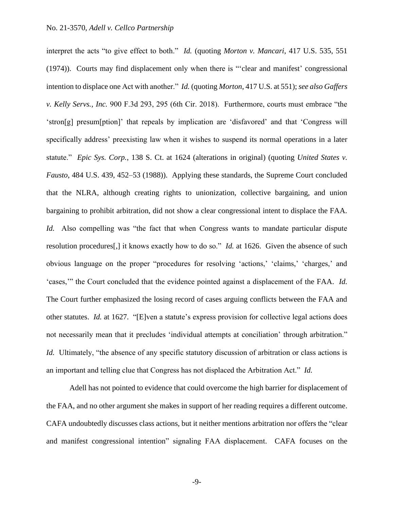interpret the acts "to give effect to both." *Id.* (quoting *Morton v. Mancari*, 417 U.S. 535, 551 (1974)). Courts may find displacement only when there is "'clear and manifest' congressional intention to displace one Act with another." *Id.* (quoting *Morton*, 417 U.S. at 551); *see also Gaffers v. Kelly Servs., Inc.* 900 F.3d 293, 295 (6th Cir. 2018). Furthermore, courts must embrace "the 'stron[g] presum[ption]' that repeals by implication are 'disfavored' and that 'Congress will specifically address' preexisting law when it wishes to suspend its normal operations in a later statute." *Epic Sys. Corp.*, 138 S. Ct. at 1624 (alterations in original) (quoting *United States v. Fausto*, 484 U.S. 439, 452–53 (1988)). Applying these standards, the Supreme Court concluded that the NLRA, although creating rights to unionization, collective bargaining, and union bargaining to prohibit arbitration, did not show a clear congressional intent to displace the FAA. *Id.* Also compelling was "the fact that when Congress wants to mandate particular dispute resolution procedures[,] it knows exactly how to do so." *Id.* at 1626. Given the absence of such obvious language on the proper "procedures for resolving 'actions,' 'claims,' 'charges,' and 'cases,'" the Court concluded that the evidence pointed against a displacement of the FAA. *Id.* The Court further emphasized the losing record of cases arguing conflicts between the FAA and other statutes. *Id.* at 1627. "[E]ven a statute's express provision for collective legal actions does not necessarily mean that it precludes 'individual attempts at conciliation' through arbitration." *Id.* Ultimately, "the absence of any specific statutory discussion of arbitration or class actions is an important and telling clue that Congress has not displaced the Arbitration Act." *Id.*

Adell has not pointed to evidence that could overcome the high barrier for displacement of the FAA, and no other argument she makes in support of her reading requires a different outcome. CAFA undoubtedly discusses class actions, but it neither mentions arbitration nor offers the "clear and manifest congressional intention" signaling FAA displacement. CAFA focuses on the